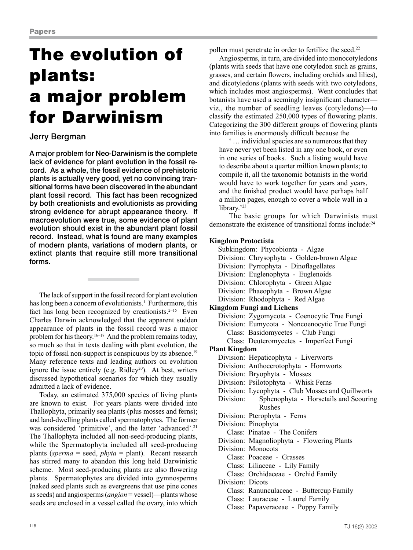# The evolution of plants: a major problem for Darwinism

# Jerry Bergman

A major problem for Neo-Darwinism is the complete lack of evidence for plant evolution in the fossil record. As a whole, the fossil evidence of prehistoric plants is actually very good, yet no convincing transitional forms have been discovered in the abundant plant fossil record. This fact has been recognized by both creationists and evolutionists as providing strong evidence for abrupt appearance theory. If macroevolution were true, some evidence of plant evolution should exist in the abundant plant fossil record. Instead, what is found are many examples of modern plants, variations of modern plants, or extinct plants that require still more transitional forms.

The lack of support in the fossil record for plant evolution has long been a concern of evolutionists.<sup>1</sup> Furthermore, this fact has long been recognized by creationists.<sup>2-15</sup> Even Charles Darwin acknowledged that the apparent sudden appearance of plants in the fossil record was a major problem for his theory.<sup>16–18</sup> And the problem remains today, so much so that in texts dealing with plant evolution, the topic of fossil non-support is conspicuous by its absence.19 Many reference texts and leading authors on evolution ignore the issue entirely (e.g. Ridley<sup>20</sup>). At best, writers discussed hypothetical scenarios for which they usually admitted a lack of evidence.

Today, an estimated 375,000 species of living plants are known to exist. For years plants were divided into Thallophyta, primarily sea plants (plus mosses and ferns); and land-dwelling plants called spermatophytes. The former was considered 'primitive', and the latter 'advanced'.<sup>21</sup> The Thallophyta included all non-seed-producing plants, while the Spermatophyta included all seed-producing plants (*sperma* = seed, *phyta* = plant). Recent research has stirred many to abandon this long held Darwinistic scheme. Most seed-producing plants are also flowering plants. Spermatophytes are divided into gymnosperms (naked seed plants such as evergreens that use pine cones as seeds) and angiosperms (*angion* = vessel)—plants whose seeds are enclosed in a vessel called the ovary, into which pollen must penetrate in order to fertilize the seed.<sup>22</sup>

Angiosperms, in turn, are divided into monocotyledons (plants with seeds that have one cotyledon such as grains, grasses, and certain flowers, including orchids and lilies), and dicotyledons (plants with seeds with two cotyledons, which includes most angiosperms). Went concludes that botanists have used a seemingly insignificant character viz., the number of seedling leaves (cotyledons)—to classify the estimated 250,000 types of flowering plants. Categorizing the 300 different groups of flowering plants into families is enormously difficult because the

' … individual species are so numerous that they have never yet been listed in any one book, or even in one series of books. Such a listing would have to describe about a quarter million known plants; to compile it, all the taxonomic botanists in the world would have to work together for years and years, and the finished product would have perhaps half a million pages, enough to cover a whole wall in a library.'<sup>23</sup>

The basic groups for which Darwinists must demonstrate the existence of transitional forms include:24

# **Kingdom Protoctista**

Subkingdom: Phycobionta - Algae Division: Chrysophyta - Golden-brown Algae Division: Pyrrophyta - Dinoflagellates Division: Euglenophyta - Euglenoids Division: Chlorophyta - Green Algae Division: Phaeophyta - Brown Algae Division: Rhodophyta - Red Algae **Kingdom Fungi and Lichens** Division: Zygomycota - Coenocytic True Fungi Division: Eumycota - Noncoenocytic True Fungi Class: Basidomycetes - Club Fungi Class: Deuteromycetes - Imperfect Fungi **Plant Kingdom** Division: Hepaticophyta - Liverworts Division: Anthocerotophyta - Hornworts Division: Bryophyta - Mosses Division: Psilotophyta - Whisk Ferns Division: Lycophyta - Club Mosses and Quillworts Division: Sphenophyta - Horsetails and Scouring Rushes Division: Pterophyta - Ferns Division: Pinophyta Class: Pinatae - The Conifers Division: Magnoliophyta - Flowering Plants Division: Monocots Class: Poaceae - Grasses Class: Liliaceae - Lily Family Class: Orchidaceae - Orchid Family Division: Dicots Class: Ranunculaceae - Buttercup Family Class: Lauraceae - Laurel Family Class: Papaveraceae - Poppy Family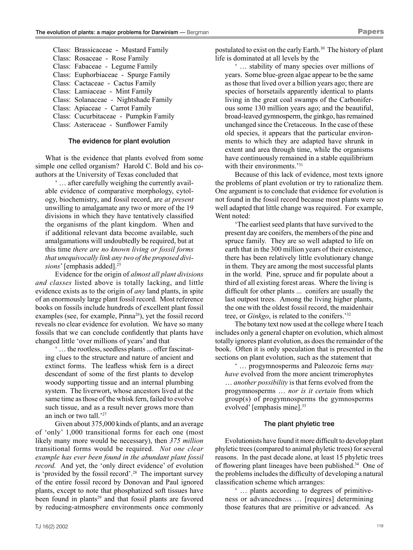Class: Brassicaceae - Mustard Family Class: Rosaceae - Rose Family Class: Fabaceae - Legume Family Class: Euphorbiaceae - Spurge Family Class: Cactaceae - Cactus Family Class: Lamiaceae - Mint Family Class: Solanaceae - Nightshade Family Class: Apiaceae - Carrot Family Class: Cucurbitaceae - Pumpkin Family Class: Asteraceae - Sunflower Family

## The evidence for plant evolution

What is the evidence that plants evolved from some simple one celled organism? Harold C. Bold and his coauthors at the University of Texas concluded that

' … after carefully weighing the currently available evidence of comparative morphology, cytology, biochemistry, and fossil record, are *at present* unwilling to amalgamate any two or more of the 19 divisions in which they have tentatively classified the organisms of the plant kingdom. When and if additional relevant data become available, such amalgamations will undoubtedly be required, but at this time *there are no known living or fossil forms that unequivocally link any two of the proposed divi*sions' [emphasis added].<sup>25</sup>

Evidence for the origin of *almost all plant divisions and classes* listed above is totally lacking, and little evidence exists as to the origin of *any* land plants, in spite of an enormously large plant fossil record. Most reference books on fossils include hundreds of excellent plant fossil examples (see, for example, Pinna<sup>26</sup>), yet the fossil record reveals no clear evidence for evolution. We have so many fossils that we can conclude confidently that plants have changed little 'over millions of years' and that

' … the rootless, seedless plants ... offer fascinating clues to the structure and nature of ancient and extinct forms. The leafless whisk fern is a direct descendant of some of the first plants to develop woody supporting tissue and an internal plumbing system. The liverwort, whose ancestors lived at the same time as those of the whisk fern, failed to evolve such tissue, and as a result never grows more than an inch or two tall.'27

Given about 375,000 kinds of plants, and an average of 'only' 1,000 transitional forms for each one (most likely many more would be necessary), then *375 million* transitional forms would be required. *Not one clear example has ever been found in the abundant plant fossil record.* And yet, the 'only direct evidence' of evolution is 'provided by the fossil record'.<sup>28</sup> The important survey of the entire fossil record by Donovan and Paul ignored plants, except to note that phosphatized soft tissues have been found in plants<sup>29</sup> and that fossil plants are favored by reducing-atmosphere environments once commonly postulated to exist on the early Earth.<sup>30</sup> The history of plant life is dominated at all levels by the

' … stability of many species over millions of years. Some blue-green algae appear to be the same as those that lived over a billion years ago; there are species of horsetails apparently identical to plants living in the great coal swamps of the Carboniferous some 130 million years ago; and the beautiful, broad-leaved gymnosperm, the ginkgo, has remained unchanged since the Cretaceous. In the case of these old species, it appears that the particular environments to which they are adapted have shrunk in extent and area through time, while the organisms have continuously remained in a stable equilibrium with their environments.<sup>'31</sup>

Because of this lack of evidence, most texts ignore the problems of plant evolution or try to rationalize them. One argument is to conclude that evidence for evolution is not found in the fossil record because most plants were so well adapted that little change was required. For example, Went noted:

'The earliest seed plants that have survived to the present day are conifers, the members of the pine and spruce family. They are so well adapted to life on earth that in the 300 million years of their existence, there has been relatively little evolutionary change in them. They are among the most successful plants in the world. Pine, spruce and fir populate about a third of all existing forest areas. Where the living is difficult for other plants ... conifers are usually the last outpost trees. Among the living higher plants, the one with the oldest fossil record, the maidenhair tree, or *Ginkgo*, is related to the conifers.'32

The botany text now used at the college where I teach includes only a general chapter on evolution, which almost totally ignores plant evolution, as does the remainder of the book. Often it is only speculation that is presented in the sections on plant evolution, such as the statement that

' … progymnosperms and Paleozoic ferns *may have* evolved from the more ancient trimerophytes … *another possibility* is that ferns evolved from the progymnosperms … *nor is it certain* from which group(s) of progymnosperms the gymnosperms evolved' [emphasis mine].<sup>33</sup>

#### The plant phyletic tree

Evolutionists have found it more difficult to develop plant phyletic trees (compared to animal phyletic trees) for several reasons. In the past decade alone, at least 15 phyletic trees of flowering plant lineages have been published.34 One of the problems includes the difficulty of developing a natural classification scheme which arranges:

' … plants according to degrees of primitiveness or advancedness … [requires] determining those features that are primitive or advanced. As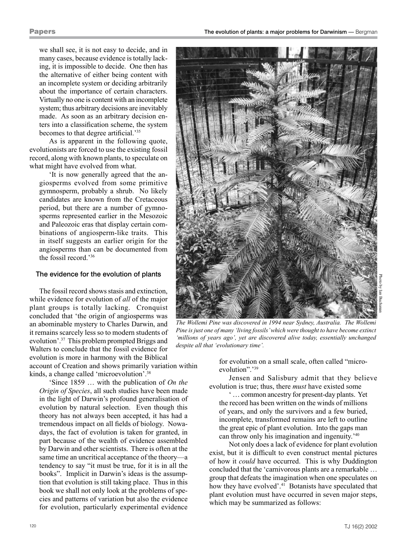we shall see, it is not easy to decide, and in many cases, because evidence is totally lacking, it is impossible to decide. One then has the alternative of either being content with an incomplete system or deciding arbitrarily about the importance of certain characters. Virtually no one is content with an incomplete system; thus arbitrary decisions are inevitably made. As soon as an arbitrary decision enters into a classification scheme, the system becomes to that degree artificial.'<sup>35</sup>

As is apparent in the following quote, evolutionists are forced to use the existing fossil record, along with known plants, to speculate on what might have evolved from what.

'It is now generally agreed that the angiosperms evolved from some primitive gymnosperm, probably a shrub. No likely candidates are known from the Cretaceous period, but there are a number of gymnosperms represented earlier in the Mesozoic and Paleozoic eras that display certain combinations of angiosperm-like traits. This in itself suggests an earlier origin for the angiosperms than can be documented from the fossil record.'36

#### The evidence for the evolution of plants

The fossil record shows stasis and extinction, while evidence for evolution of *all* of the major plant groups is totally lacking. Cronquist concluded that 'the origin of angiosperms was an abominable mystery to Charles Darwin, and it remains scarcely less so to modern students of evolution'.37 This problem prompted Briggs and Walters to conclude that the fossil evidence for evolution is more in harmony with the Biblical

account of Creation and shows primarily variation within kinds, a change called 'microevolution'.38

'Since 1859 … with the publication of *On the Origin of Species*, all such studies have been made in the light of Darwin's profound generalisation of evolution by natural selection. Even though this theory has not always been accepted, it has had a tremendous impact on all fields of biology. Nowadays, the fact of evolution is taken for granted, in part because of the wealth of evidence assembled by Darwin and other scientists. There is often at the same time an uncritical acceptance of the theory—a tendency to say "it must be true, for it is in all the books". Implicit in Darwin's ideas is the assumption that evolution is still taking place. Thus in this book we shall not only look at the problems of species and patterns of variation but also the evidence for evolution, particularly experimental evidence



*The Wollemi Pine was discovered in 1994 near Sydney, Australia. The Wollemi Pine is just one of many 'living fossils' which were thought to have become extinct 'millions of years ago', yet are discovered alive today, essentially unchanged despite all that 'evolutionary time'.*

for evolution on a small scale, often called "microevolution".<sup>'39</sup>

Jensen and Salisbury admit that they believe evolution is true; thus, there *must* have existed some

' … common ancestry for present-day plants. Yet the record has been written on the winds of millions of years, and only the survivors and a few buried, incomplete, transformed remains are left to outline the great epic of plant evolution. Into the gaps man can throw only his imagination and ingenuity.'40

Not only does a lack of evidence for plant evolution exist, but it is difficult to even construct mental pictures of how it *could* have occurred. This is why Duddington concluded that the 'carnivorous plants are a remarkable … group that defeats the imagination when one speculates on how they have evolved'.<sup>41</sup> Botanists have speculated that plant evolution must have occurred in seven major steps, which may be summarized as follows: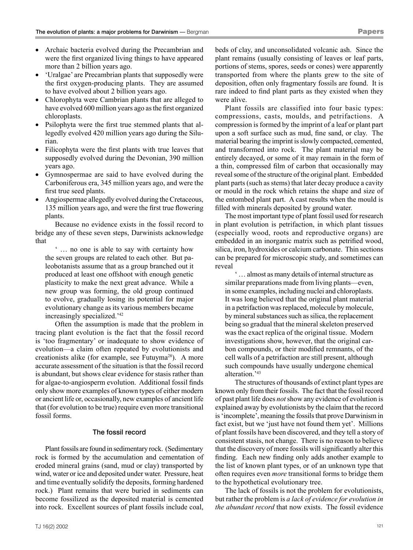- Archaic bacteria evolved during the Precambrian and were the first organized living things to have appeared more than 2 billion years ago.
- 'Uralgae' are Precambrian plants that supposedly were the first oxygen-producing plants. They are assumed to have evolved about 2 billion years ago.
- Chlorophyta were Cambrian plants that are alleged to have evolved 600 million years ago as the first organized chloroplasts.
- Psilophyta were the first true stemmed plants that allegedly evolved 420 million years ago during the Silurian.
- Filicophyta were the first plants with true leaves that supposedly evolved during the Devonian, 390 million years ago.
- Gymnospermae are said to have evolved during the Carboniferous era, 345 million years ago, and were the first true seed plants.
- Angiospermae allegedly evolved during the Cretaceous, 135 million years ago, and were the first true flowering plants.

Because no evidence exists in the fossil record to bridge any of these seven steps, Darwinists acknowledge that

' … no one is able to say with certainty how the seven groups are related to each other. But paleobotanists assume that as a group branched out it produced at least one offshoot with enough genetic plasticity to make the next great advance. While a new group was forming, the old group continued to evolve, gradually losing its potential for major evolutionary change as its various members became increasingly specialized.'42

Often the assumption is made that the problem in tracing plant evolution is the fact that the fossil record is 'too fragmentary' or inadequate to show evidence of evolution—a claim often repeated by evolutionists and creationists alike (for example, see Futuyma<sup>28</sup>). A more accurate assessment of the situation is that the fossil record is abundant, but shows clear evidence for stasis rather than for algae-to-angiosperm evolution. Additional fossil finds only show more examples of known types of either modern or ancient life or, occasionally, new examples of ancient life that (for evolution to be true) require even more transitional fossil forms.

# The fossil record

Plant fossils are found in sedimentary rock. (Sedimentary rock is formed by the accumulation and cementation of eroded mineral grains (sand, mud or clay) transported by wind, water or ice and deposited under water. Pressure, heat and time eventually solidify the deposits, forming hardened rock.) Plant remains that were buried in sediments can become fossilized as the deposited material is cemented into rock. Excellent sources of plant fossils include coal,

beds of clay, and unconsolidated volcanic ash. Since the plant remains (usually consisting of leaves or leaf parts, portions of stems, spores, seeds or cones) were apparently transported from where the plants grew to the site of deposition, often only fragmentary fossils are found. It is rare indeed to find plant parts as they existed when they were alive.

Plant fossils are classified into four basic types: compressions, casts, moulds, and petrifactions. A compression is formed by the imprint of a leaf or plant part upon a soft surface such as mud, fine sand, or clay. The material bearing the imprint is slowly compacted, cemented, and transformed into rock. The plant material may be entirely decayed, or some of it may remain in the form of a thin, compressed film of carbon that occasionally may reveal some of the structure of the original plant. Embedded plant parts (such as stems) that later decay produce a cavity or mould in the rock which retains the shape and size of the entombed plant part. A cast results when the mould is filled with minerals deposited by ground water.

The most important type of plant fossil used for research in plant evolution is petrifaction, in which plant tissues (especially wood, roots and reproductive organs) are embedded in an inorganic matrix such as petrified wood, silica, iron, hydroxides or calcium carbonate. Thin sections can be prepared for microscopic study, and sometimes can reveal

' … almost as many details of internal structure as similar preparations made from living plants—even, in some examples, including nuclei and chloroplasts. It was long believed that the original plant material in a petrifaction was replaced, molecule by molecule, by mineral substances such as silica, the replacement being so gradual that the mineral skeleton preserved was the exact replica of the original tissue. Modern investigations show, however, that the original carbon compounds, or their modified remnants, of the cell walls of a petrifaction are still present, although such compounds have usually undergone chemical alteration.'43

The structures of thousands of extinct plant types are known only from their fossils. The fact that the fossil record of past plant life does *not* show any evidence of evolution is explained away by evolutionists by the claim that the record is 'incomplete', meaning the fossils that prove Darwinism in fact exist, but we 'just have not found them yet'. Millions of plant fossils have been discovered, and they tell a story of consistent stasis, not change. There is no reason to believe that the discovery of more fossils will significantly alter this finding. Each new finding only adds another example to the list of known plant types, or of an unknown type that often requires even *more* transitional forms to bridge them to the hypothetical evolutionary tree.

The lack of fossils is not the problem for evolutionists, but rather the problem is *a lack of evidence for evolution in the abundant record* that now exists. The fossil evidence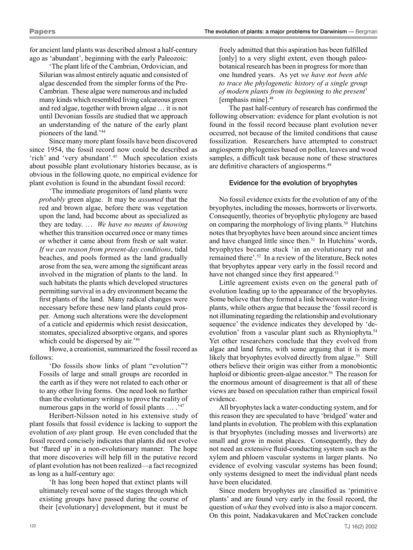for ancient land plants was described almost a half-century ago as 'abundant', beginning with the early Paleozoic:

'The plant life of the Cambrian, Ordovician, and Silurian was almost entirely aquatic and consisted of algae descended from the simpler forms of the Pre-Cambrian. These algae were numerous and included many kinds which resembled living calcareous green and red algae, together with brown algae … it is not until Devonian fossils are studied that we approach an understanding of the nature of the early plant pioneers of the land.'44

Since many more plant fossils have been discovered since 1954, the fossil record now could be described as 'rich' and 'very abundant'.45 Much speculation exists about possible plant evolutionary histories because, as is obvious in the following quote, no empirical evidence for plant evolution is found in the abundant fossil record:

'The immediate progenitors of land plants were *probably* green algae. It may be *assumed* that the red and brown algae, before there was vegetation upon the land, had become about as specialized as they are today. … *We have no means of knowing* whether this transition occurred once or many times or whether it came about from fresh or salt water. *If we can reason from present-day conditions*, tidal beaches, and pools formed as the land gradually arose from the sea, were among the significant areas involved in the migration of plants to the land. In such habitats the plants which developed structures permitting survival in a dry environment became the first plants of the land. Many radical changes were necessary before these new land plants could prosper. Among such alterations were the development of a cuticle and epidermis which resist desiccation, stomates, specialized absorptive organs, and spores which could be dispersed by air.<sup>'46</sup>

Howe, a creationist, summarized the fossil record as follows:

'Do fossils show links of plant "evolution"? Fossils of large and small groups are recorded in the earth as if they were not related to each other or to any other living forms. One need look no further than the evolutionary writings to prove the reality of numerous gaps in the world of fossil plants ... .<sup>'47</sup>

Heribert-Nilsson noted in his extensive study of plant fossils that fossil evidence is lacking to support the evolution of *any* plant group. He even concluded that the fossil record concisely indicates that plants did not evolve but 'flared up' in a non-evolutionary manner. The hope that more discoveries will help fill in the putative record of plant evolution has not been realized—a fact recognized as long as a half-century ago:

'It has long been hoped that extinct plants will ultimately reveal some of the stages through which existing groups have passed during the course of their [evolutionary] development, but it must be

freely admitted that this aspiration has been fulfilled [only] to a very slight extent, even though paleobotanical research has been in progress for more than one hundred years. As yet *we have not been able to trace the phylogenetic history of a single group of modern plants from its beginning to the present*' [emphasis mine].48

The past half-century of research has confirmed the following observation: evidence for plant evolution is not found in the fossil record because plant evolution never occurred, not because of the limited conditions that cause fossilization. Researchers have attempted to construct angiosperm phylogenies based on pollen, leaves and wood samples, a difficult task because none of these structures are definitive characters of angiosperms.<sup>49</sup>

## Evidence for the evolution of bryophytes

No fossil evidence exists for the evolution of any of the bryophytes, including the mosses, hornworts or liverworts. Consequently, theories of bryophytic phylogeny are based on comparing the morphology of living plants.50 Hutchins notes that bryophytes have been around since ancient times and have changed little since then.<sup>51</sup> In Hutchins' words, bryophytes became stuck 'in an evolutionary rut and remained there'.52 In a review of the literature, Beck notes that bryophytes appear very early in the fossil record and have not changed since they first appeared.<sup>53</sup>

Little agreement exists even on the general path of evolution leading up to the appearance of the bryophytes. Some believe that they formed a link between water-living plants, while others argue that because the 'fossil record is not illuminating regarding the relationship and evolutionary sequence' the evidence indicates they developed by 'deevolution' from a vascular plant such as Rhyniophyta.<sup>54</sup> Yet other researchers conclude that they evolved from algae and land ferns, with some arguing that it is more likely that bryophytes evolved directly from algae.<sup>55</sup> Still others believe their origin was either from a monobiontic haploid or dibiontic green-algae ancestor.<sup>56</sup> The reason for the enormous amount of disagreement is that all of these views are based on speculation rather than empirical fossil evidence.

All bryophytes lack a water-conducting system, and for this reason they are speculated to have 'bridged' water and land plants in evolution. The problem with this explanation is that bryophytes (including mosses and liverworts) are small and grow in moist places. Consequently, they do not need an extensive fluid-conducting system such as the xylem and phloem vascular systems in larger plants. No evidence of evolving vascular systems has been found; only systems designed to meet the individual plant needs have been elucidated.

Since modern bryophytes are classified as 'primitive plants' and are found very early in the fossil record, the question of *what* they evolved into is also a major concern. On this point, Nadakavukaren and McCracken conclude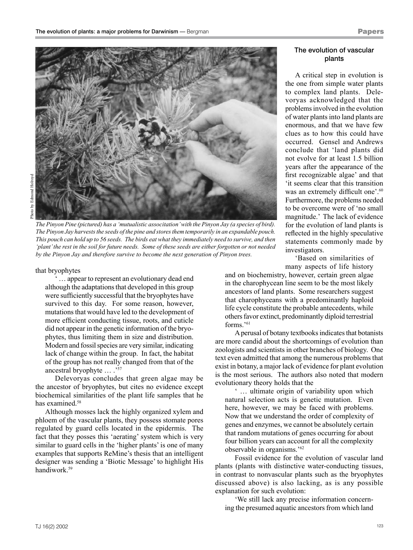

*The Pinyon Pine (pictured) has a 'mutualistic associtation' with the Pinyon Jay (a species of bird). The Pinyon Jay harvests the seeds of the pine and stores them temporarily in an expandable pouch. This pouch can hold up to 56 seeds. The birds eat what they immediately need to survive, and then 'plant' the rest in the soil for future needs. Some of these seeds are either forgotten or not needed by the Pinyon Jay and therefore survive to become the next generation of Pinyon trees.*

that bryophytes

... appear to represent an evolutionary dead end although the adaptations that developed in this group were sufficiently successful that the bryophytes have survived to this day. For some reason, however, mutations that would have led to the development of more efficient conducting tissue, roots, and cuticle did not appear in the genetic information of the bryophytes, thus limiting them in size and distribution. Modern and fossil species are very similar, indicating lack of change within the group. In fact, the habitat of the group has not really changed from that of the ancestral bryophyte … .'57

Delevoryas concludes that green algae may be the ancestor of bryophytes, but cites no evidence except biochemical similarities of the plant life samples that he has examined.<sup>58</sup>

Although mosses lack the highly organized xylem and phloem of the vascular plants, they possess stomate pores regulated by guard cells located in the epidermis. The fact that they posses this 'aerating' system which is very similar to guard cells in the 'higher plants' is one of many examples that supports ReMine's thesis that an intelligent designer was sending a 'Biotic Message' to highlight His handiwork.59

# The evolution of vascular plants

A critical step in evolution is the one from simple water plants to complex land plants. Delevoryas acknowledged that the problems involved in the evolution of water plants into land plants are enormous, and that we have few clues as to how this could have occurred. Gensel and Andrews conclude that 'land plants did not evolve for at least 1.5 billion years after the appearance of the first recognizable algae' and that 'it seems clear that this transition was an extremely difficult one'.<sup>60</sup> Furthermore, the problems needed to be overcome were of 'no small magnitude.' The lack of evidence for the evolution of land plants is reflected in the highly speculative statements commonly made by investigators.

'Based on similarities of many aspects of life history

and on biochemistry, however, certain green algae in the charophycean line seem to be the most likely ancestors of land plants. Some researchers suggest that charophyceans with a predominantly haploid life cycle constitute the probable antecedents, while others favor extinct, predominantly diploid terrestrial forms.'61

A perusal of botany textbooks indicates that botanists are more candid about the shortcomings of evolution than zoologists and scientists in other branches of biology. One text even admitted that among the numerous problems that exist in botany, a major lack of evidence for plant evolution is the most serious. The authors also noted that modern evolutionary theory holds that the

' … ultimate origin of variability upon which natural selection acts is genetic mutation. Even here, however, we may be faced with problems. Now that we understand the order of complexity of genes and enzymes, we cannot be absolutely certain that random mutations of genes occurring for about four billion years can account for all the complexity observable in organisms.'62

Fossil evidence for the evolution of vascular land plants (plants with distinctive water-conducting tissues, in contrast to nonvascular plants such as the bryophytes discussed above) is also lacking, as is any possible explanation for such evolution:

'We still lack any precise information concerning the presumed aquatic ancestors from which land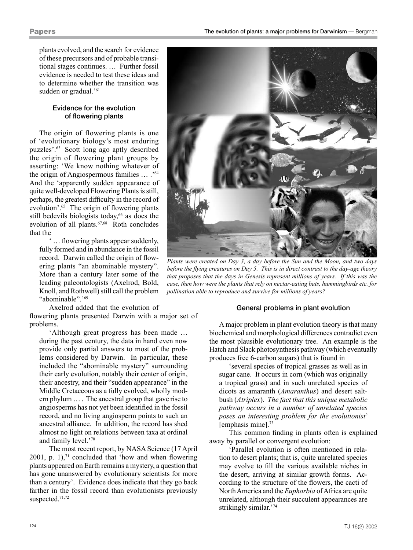plants evolved, and the search for evidence of these precursors and of probable transitional stages continues. … Further fossil evidence is needed to test these ideas and to determine whether the transition was sudden or gradual.'<sup>61</sup>

# Evidence for the evolution of flowering plants

The origin of flowering plants is one of 'evolutionary biology's most enduring puzzles'.63 Scott long ago aptly described the origin of flowering plant groups by asserting: 'We know nothing whatever of the origin of Angiospermous families … .'64 And the 'apparently sudden appearance of quite well-developed Flowering Plants is still, perhaps, the greatest difficulty in the record of evolution'.65 The origin of flowering plants still bedevils biologists today,<sup>66</sup> as does the evolution of all plants.<sup>67,68</sup> Roth concludes that the

... flowering plants appear suddenly, fully formed and in abundance in the fossil record. Darwin called the origin of flowering plants "an abominable mystery". More than a century later some of the leading paleontologists (Axelrod, Bold, Knoll, and Rothwell) still call the problem "abominable".<sup>'69</sup>

Axelrod added that the evolution of flowering plants presented Darwin with a major set of problems.

'Although great progress has been made … during the past century, the data in hand even now provide only partial answers to most of the problems considered by Darwin. In particular, these included the "abominable mystery" surrounding their early evolution, notably their center of origin, their ancestry, and their "sudden appearance" in the Middle Cretaceous as a fully evolved, wholly modern phylum … . The ancestral group that gave rise to angiosperms has not yet been identified in the fossil record, and no living angiosperm points to such an ancestral alliance. In addition, the record has shed almost no light on relations between taxa at ordinal and family level.'70

The most recent report, by NASA Science (17 April 2001, p. 1), $<sup>71</sup>$  concluded that 'how and when flowering</sup> plants appeared on Earth remains a mystery, a question that has gone unanswered by evolutionary scientists for more than a century'. Evidence does indicate that they go back farther in the fossil record than evolutionists previously suspected.71,72



*Plants were created on Day 3, a day before the Sun and the Moon, and two days before the flying creatures on Day 5. This is in direct contrast to the day-age theory that proposes that the days in Genesis represent millions of years. If this was the case, then how were the plants that rely on nectar-eating bats, hummingbirds etc. for pollination able to reproduce and survive for millions of years?*

# General problems in plant evolution

A major problem in plant evolution theory is that many biochemical and morphological differences contradict even the most plausible evolutionary tree. An example is the Hatch and Slack photosynthesis pathway (which eventually produces free 6-carbon sugars) that is found in

'several species of tropical grasses as well as in sugar cane. It occurs in corn (which was originally a tropical grass) and in such unrelated species of dicots as amaranth (*Amaranthus*) and desert saltbush (*Atriplex*). *The fact that this unique metabolic pathway occurs in a number of unrelated species poses an interesting problem for the evolutionist*' [emphasis mine].<sup>73</sup>

This common finding in plants often is explained away by parallel or convergent evolution:

'Parallel evolution is often mentioned in relation to desert plants; that is, quite unrelated species may evolve to fill the various available niches in the desert, arriving at similar growth forms. According to the structure of the flowers, the cacti of North America and the *Euphorbia* of Africa are quite unrelated, although their succulent appearances are strikingly similar.'74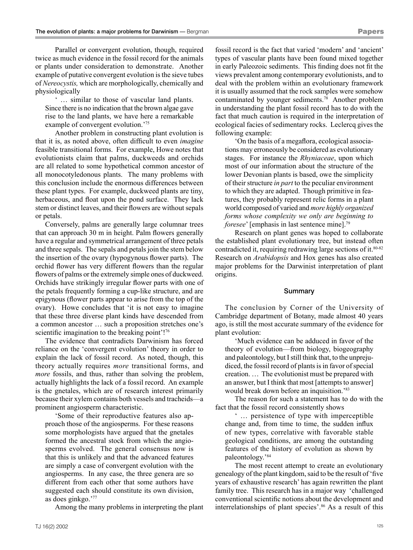Parallel or convergent evolution, though, required twice as much evidence in the fossil record for the animals or plants under consideration to demonstrate. Another example of putative convergent evolution is the sieve tubes of *Nereocystis,* which are morphologically, chemically and physiologically

' … similar to those of vascular land plants. Since there is no indication that the brown algae gave rise to the land plants, we have here a remarkable example of convergent evolution.<sup>'75</sup>

Another problem in constructing plant evolution is that it is, as noted above, often difficult to even *imagine* feasible transitional forms. For example, Howe notes that evolutionists claim that palms, duckweeds and orchids are all related to some hypothetical common ancestor of all monocotyledonous plants. The many problems with this conclusion include the enormous differences between these plant types. For example, duckweed plants are tiny, herbaceous, and float upon the pond surface. They lack stem or distinct leaves, and their flowers are without sepals or petals.

Conversely, palms are generally large columnar trees that can approach 30 m in height. Palm flowers generally have a regular and symmetrical arrangement of three petals and three sepals. The sepals and petals join the stem below the insertion of the ovary (hypogynous flower parts). The orchid flower has very different flowers than the regular flowers of palms or the extremely simple ones of duckweed. Orchids have strikingly irregular flower parts with one of the petals frequently forming a cup-like structure, and are epigynous (flower parts appear to arise from the top of the ovary). Howe concludes that 'it is not easy to imagine that these three diverse plant kinds have descended from a common ancestor … such a proposition stretches one's scientific imagination to the breaking point'!<sup>76</sup>

The evidence that contradicts Darwinism has forced reliance on the 'convergent evolution' theory in order to explain the lack of fossil record. As noted, though, this theory actually requires *more* transitional forms, and *more* fossils, and thus, rather than solving the problem, actually highlights the lack of a fossil record. An example is the gnetales, which are of research interest primarily because their xylem contains both vessels and tracheids—a prominent angiosperm characteristic.

'Some of their reproductive features also approach those of the angiosperms. For these reasons some morphologists have argued that the gnetales formed the ancestral stock from which the angiosperms evolved. The general consensus now is that this is unlikely and that the advanced features are simply a case of convergent evolution with the angiosperms. In any case, the three genera are so different from each other that some authors have suggested each should constitute its own division, as does ginkgo.'77

Among the many problems in interpreting the plant

fossil record is the fact that varied 'modern' and 'ancient' types of vascular plants have been found mixed together in early Paleozoic sediments. This finding does not fit the views prevalent among contemporary evolutionists, and to deal with the problem within an evolutionary framework it is usually assumed that the rock samples were somehow contaminated by younger sediments.78 Another problem in understanding the plant fossil record has to do with the fact that much caution is required in the interpretation of ecological facies of sedimentary rocks. Leclercq gives the following example:

'On the basis of a megaflora, ecological associations may erroneously be considered as evolutionary stages. For instance the *Rhyniaceae*, upon which most of our information about the structure of the lower Devonian plants is based, owe the simplicity of their structure *in part* to the peculiar environment to which they are adapted. Though primitive in features, they probably represent relic forms in a plant world composed of varied and *more highly organized forms whose complexity we only are beginning to foresee*' [emphasis in last sentence mine].<sup>79</sup>

Research on plant genes was hoped to collaborate the established plant evolutionary tree, but instead often contradicted it, requiring redrawing large sections of it.80-82 Research on *Arabidopsis* and Hox genes has also created major problems for the Darwinist interpretation of plant origins.

#### Summary

The conclusion by Corner of the University of Cambridge department of Botany, made almost 40 years ago, is still the most accurate summary of the evidence for plant evolution:

'Much evidence can be adduced in favor of the theory of evolution—from biology, biogeography and paleontology, but I still think that, to the unprejudiced, the fossil record of plants is in favor of special creation. … The evolutionist must be prepared with an answer, but I think that most [attempts to answer] would break down before an inquisition.'83

The reason for such a statement has to do with the fact that the fossil record consistently shows

' … persistence of type with imperceptible change and, from time to time, the sudden influx of new types, correlative with favorable stable geological conditions, are among the outstanding features of the history of evolution as shown by paleontology.'84

The most recent attempt to create an evolutionary genealogy of the plant kingdom, said to be the result of 'five years of exhaustive research' has again rewritten the plant family tree. This research has in a major way 'challenged conventional scientific notions about the development and interrelationships of plant species'.<sup>86</sup> As a result of this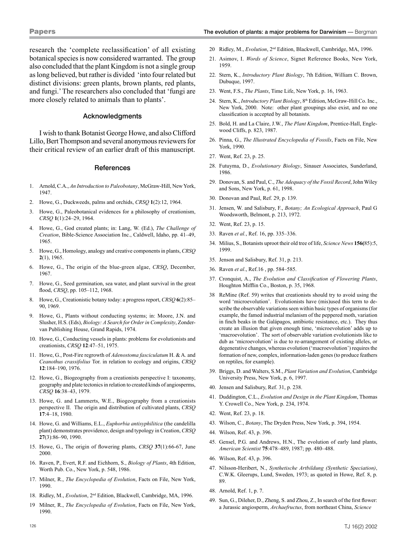research the 'complete reclassification' of all existing botanical species is now considered warranted. The group also concluded that the plant Kingdom is not a single group as long believed, but rather is divided 'into four related but distinct divisions: green plants, brown plants, red plants, and fungi.' The researchers also concluded that 'fungi are more closely related to animals than to plants'.

#### Acknowledgments

I wish to thank Botanist George Howe, and also Clifford Lillo, Bert Thompson and several anonymous reviewers for their critical review of an earlier draft of this manuscript.

#### **References**

- 1. Arnold, C.A., *An Introduction to Paleobotany*, McGraw-Hill, New York, 1947.
- 2. Howe, G., Duckweeds, palms and orchids, *CRSQ* **1**(2):12, 1964.
- 3. Howe, G., Paleobotanical evidences for a philosophy of creationism, *CRSQ* **1**(1):24–29, 1964.
- 4. Howe, G., God created plants; in: Lang, W. (Ed.), *The Challenge of Creation*, Bible-Science Association Inc., Caldwell, Idaho, pp. 41–49, 1965.
- 5. Howe, G., Homology, analogy and creative components in plants, *CRSQ* **2**(1), 1965.
- 6. Howe, G., The origin of the blue-green algae, *CRSQ*, December, 1967.
- 7. Howe, G., Seed germination, sea water, and plant survival in the great flood, *CRSQ*, pp. 105–112, 1968.
- 8. Howe, G., Creationistic botany today: a progress report, *CRSQ* **6**(2):85– 90, 1969.
- 9. Howe, G., Plants without conducting systems; in: Moore, J.N. and Slusher, H.S. (Eds), *Biology: A Search for Order in Complexity*, Zondervan Publishing House, Grand Rapids, 1974.
- 10. Howe, G., Conducting vessels in plants: problems for evolutionists and creationists, *CRSQ* **12**:47–51, 1975.
- 11. Howe, G., Post-Fire regrowth of *Adenostoma fasciculatum* H. & A. and *Ceanothus crassifolius* Tor. in relation to ecology and origins, *CRSQ* **12**:184–190, 1976.
- 12. Howe, G., Biogeography from a creationists perspective I: taxonomy, geography and plate tectonics in relation to created kinds of angiosperms, *CRSQ* **16**:38–43, 1979.
- 13. Howe, G. and Lammerts, W.E., Biogeography from a creationists perspective II. The origin and distribution of cultivated plants, *CRSQ* **17**:4–18, 1980.
- 14. Howe, G. and Williams, E.L., *Euphorbia antisyphilitica* (the candelilla plant) demonstrates providence, design and typology in Creation, *CRSQ* **27**(3):86–90, 1990.
- 15. Howe, G., The origin of flowering plants, *CRSQ* **37**(1):66-67, June 2000.
- 16. Raven, P., Evert, R.F. and Eichhorn, S., *Biology of Plants*, 4th Edition, Worth Pub. Co., New York, p. 548, 1986.
- 17. Milner, R., *The Encyclopedia of Evolution*, Facts on File, New York, 1990.
- 18. Ridley, M., *Evolution*, 2nd Edition, Blackwell, Cambridge, MA, 1996.
- 19 Milner, R., *The Encyclopedia of Evolution*, Facts on File, New York, 1990.
- 20 Ridley, M., *Evolution*, 2nd Edition, Blackwell, Cambridge, MA, 1996.
- 21. Asimov, I. *Words of Science*, Signet Reference Books, New York, 1959.
- 22. Stern, K., *Introductory Plant Biology*, 7th Edition, William C. Brown, Dubuque, 1997.
- 23. Went, F.S., *The Plants*, Time Life, New York, p. 16, 1963.
- 24. Stern, K., *Introductory Plant Biology*, 8<sup>th</sup> Edition, McGraw-Hill Co. Inc., New York, 2000. Note: other plant groupings also exist, and no one classification is accepted by all botanists.
- 25. Bold, H. and La Claire, J.W., *The Plant Kingdom*, Prentice-Hall, Englewood Cliffs, p. 823, 1987.
- 26. Pinna, G., *The Illustrated Encyclopedia of Fossils*, Facts on File, New York, 1990.
- 27. Went, Ref. 23, p. 25.
- 28. Futuyma, D., *Evolutionary Biology*, Sinauer Associates, Sunderland, 1986.
- 29. Donovan, S. and Paul, C., *The Adequacy of the Fossil Record*, John Wiley and Sons, New York, p. 61, 1998.
- 30. Donovan and Paul, Ref. 29, p. 139.
- 31. Jensen, W. and Salisbury, F., *Botany; An Ecological Approach*, Paul G Woodsworth, Belmont, p. 213, 1972.
- 32. Went, Ref. 23, p. 15.
- 33. Raven *et al.*, Ref. 16, pp. 335–336.
- 34. Milius, S., Botanists uproot their old tree of life, *Science News* **156(**85):5, 1999.
- 35. Jenson and Salisbury, Ref. 31, p. 213.
- 36. Raven *et al*., Ref.16 , pp. 584–585.
- 37. Cronquist, A., *The Evolution and Classification of Flowering Plants*, Houghton Mifflin Co., Boston, p. 35, 1968.
- 38 ReMine (Ref. 59) writes that creationists should try to avoid using the word 'microevolution'. Evolutionists have (mis)used this term to describe the observable variations seen within basic types of organisms (for example, the famed industrial melanism of the peppered moth, variation in finch beaks in the Galápagos, antibiotic resistance, etc.). They thus create an illusion that given enough time, 'microevolution' adds up to 'macroevolution'. The sort of observable variation evolutionists like to dub as 'microevolution' is due to re-arrangement of existing alleles, or degenerative changes, whereas evolution ('macroevolution') requires the formation of new, complex, information-laden genes (to produce feathers on reptiles, for example).
- 39. Briggs, D. and Walters, S.M., *Plant Variation and Evolution*, Cambridge University Press, New York, p. 6, 1997.
- 40. Jensen and Salisbury, Ref. 31, p. 238.
- 41. Duddington, C.L., *Evolution and Design in the Plant Kingdom*, Thomas Y. Crowell Co., New York, p. 234, 1974.
- 42. Went, Ref. 23, p. 18.
- 43. Wilson, C., *Botany*, The Dryden Press, New York, p. 394, 1954.
- 44. Wilson, Ref. 43, p. 396.
- 45. Gensel, P.G. and Andrews, H.N., The evolution of early land plants, *American Scientist* **75**:478–489, 1987; pp. 480–488.
- 46. Wilson, Ref. 43, p. 396.
- 47. Nilsson-Heribert, N., *Synthetische Artbildung (Synthetic Speciation)*, C.W.K. Gleerups, Lund, Sweden, 1973; as quoted in Howe, Ref. 8, p. 89.
- 48. Arnold, Ref. 1, p. 7.
- 49. Sun, G., Dileher, D., Zheng, S. and Zhou, Z., In search of the first flower: a Jurassic angiosperm, *Archaefructus*, from northeast China, *Science*